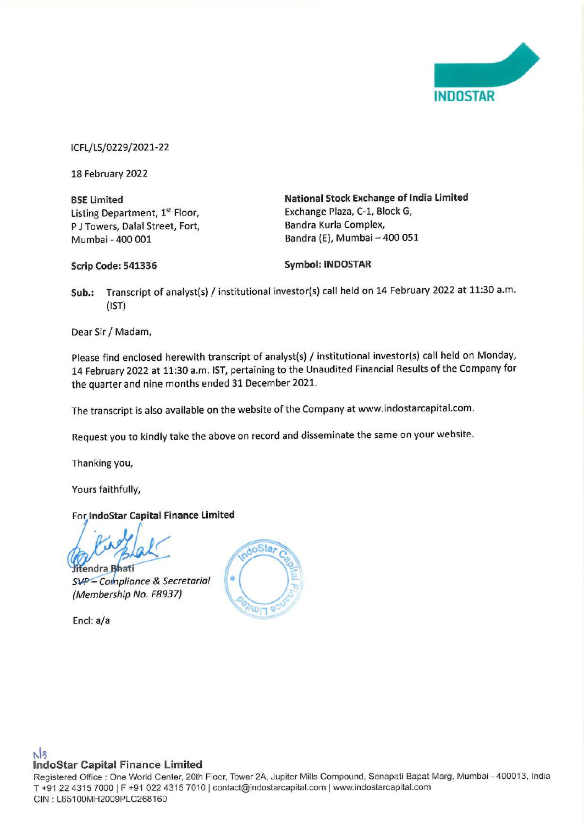

ICFL/LS/0229/2021-22

18 February 2022

**BSE Limited**  Listing Department, 1st Floor, P J Towers, Dalal Street, Fort, Mumbai - 400 001

**National Stock Exchange of India Limited**  Exchange Plaza, C-1, Block G, Bandra Kurla Complex, Bandra (E), Mumbai - 400 051

**Scrip Code: 541336** 

**Symbol: INDOSTAR** 

**Sub.:** Transcript of analyst(s) / institutional investor(s) call held on 14 February 2022 at 11:30 a.m. (1ST)

Dear Sir/ Madam,

Please find enclosed herewith transcript of analyst(s) / institutional investor(s) call held on Monday, 14 February 2022 at 11:30 a.m. 1ST, pertaining to the Unaudited Financial Results of the Company for the quarter and nine months ended 31 December 2021.

The transcript is also available on the website of the Company at www.indostarcapital.com.

Request you to kindly take the above on record and disseminate the same on your website.

Thanking you,

Yours faithfully,

# For **lndoStar Capital Finance Limited**

*iY*   $\frac{1}{2}$ 

SVP - Compliance & Secretarial (Membership No. F8937}

Encl: a/a



## N<sub>3</sub> **lndoStar Capital Finance Limited**

Registered Office: One World Center, 20th Floor, Tower 2A, Jupiter Mills Compound, Senapati Bapat Marg, Mumbai - 400013, India T +91 22 4315 7000 | F +91 022 4315 7010 | contact@indostarcapital.com | www.indostarcapital.com CIN : L65100MH2009PLC268160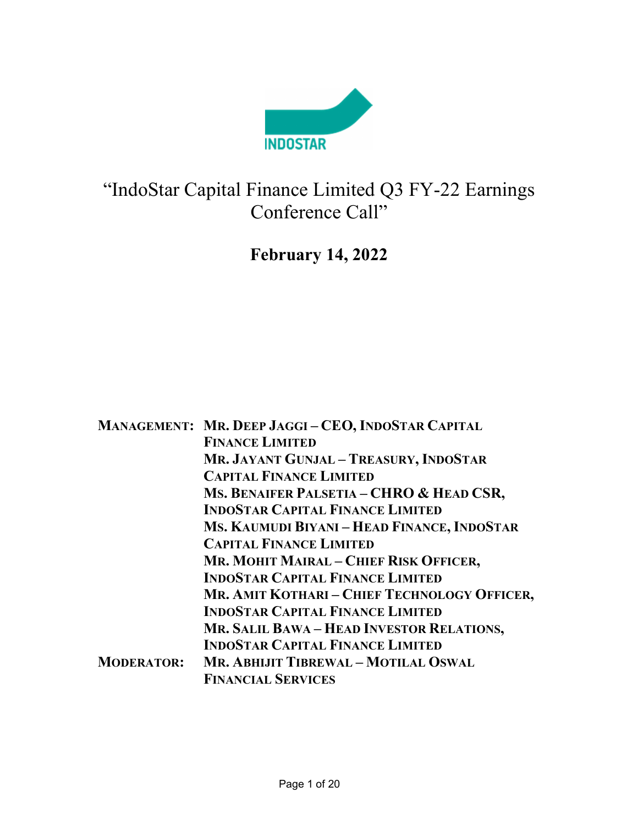

# "IndoStar Capital Finance Limited Q3 FY-22 Earnings Conference Call"

# February 14, 2022

|                   | MANAGEMENT: MR. DEEP JAGGI-CEO, INDOSTAR CAPITAL |
|-------------------|--------------------------------------------------|
|                   | <b>FINANCE LIMITED</b>                           |
|                   | MR. JAYANT GUNJAL - TREASURY, INDOSTAR           |
|                   | <b>CAPITAL FINANCE LIMITED</b>                   |
|                   | MS. BENAIFER PALSETIA - CHRO & HEAD CSR,         |
|                   | <b>INDOSTAR CAPITAL FINANCE LIMITED</b>          |
|                   | MS. KAUMUDI BIYANI - HEAD FINANCE, INDOSTAR      |
|                   | <b>CAPITAL FINANCE LIMITED</b>                   |
|                   | MR. MOHIT MAIRAL - CHIEF RISK OFFICER,           |
|                   | <b>INDOSTAR CAPITAL FINANCE LIMITED</b>          |
|                   | MR. AMIT KOTHARI – CHIEF TECHNOLOGY OFFICER,     |
|                   | <b>INDOSTAR CAPITAL FINANCE LIMITED</b>          |
|                   | MR. SALIL BAWA - HEAD INVESTOR RELATIONS,        |
|                   | <b>INDOSTAR CAPITAL FINANCE LIMITED</b>          |
| <b>MODERATOR:</b> | MR. ABHIJIT TIBREWAL - MOTILAL OSWAL             |
|                   | <b>FINANCIAL SERVICES</b>                        |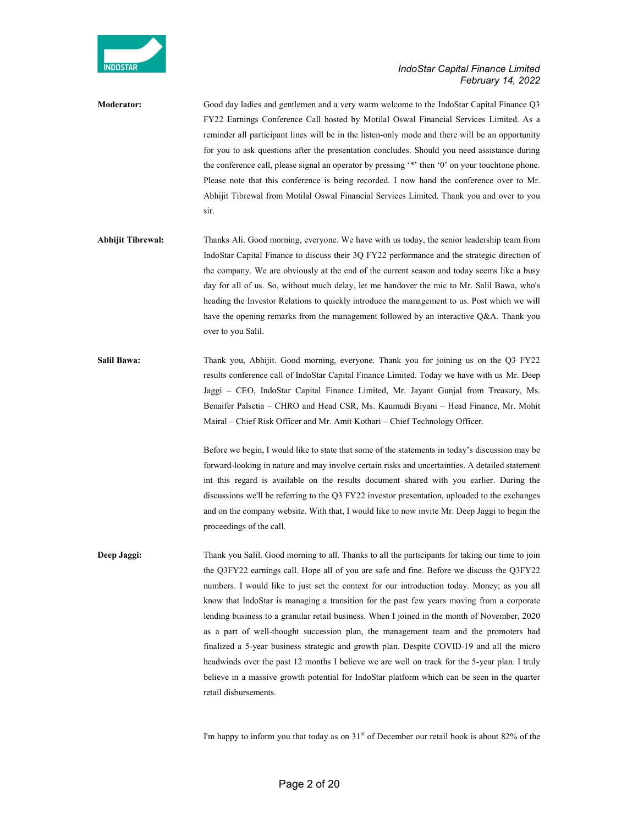

Moderator: Good day ladies and gentlemen and a very warm welcome to the IndoStar Capital Finance Q3 FY22 Earnings Conference Call hosted by Motilal Oswal Financial Services Limited. As a reminder all participant lines will be in the listen-only mode and there will be an opportunity for you to ask questions after the presentation concludes. Should you need assistance during the conference call, please signal an operator by pressing '\*' then '0' on your touchtone phone. Please note that this conference is being recorded. I now hand the conference over to Mr. Abhijit Tibrewal from Motilal Oswal Financial Services Limited. Thank you and over to you sir.

- Abhijit Tibrewal: Thanks Ali. Good morning, everyone. We have with us today, the senior leadership team from IndoStar Capital Finance to discuss their 3Q FY22 performance and the strategic direction of the company. We are obviously at the end of the current season and today seems like a busy day for all of us. So, without much delay, let me handover the mic to Mr. Salil Bawa, who's heading the Investor Relations to quickly introduce the management to us. Post which we will have the opening remarks from the management followed by an interactive Q&A. Thank you over to you Salil.
- Salil Bawa: Thank you, Abhijit. Good morning, everyone. Thank you for joining us on the Q3 FY22 results conference call of IndoStar Capital Finance Limited. Today we have with us Mr. Deep Jaggi – CEO, IndoStar Capital Finance Limited, Mr. Jayant Gunjal from Treasury, Ms. Benaifer Palsetia – CHRO and Head CSR, Ms. Kaumudi Biyani – Head Finance, Mr. Mohit Mairal – Chief Risk Officer and Mr. Amit Kothari – Chief Technology Officer.

Before we begin, I would like to state that some of the statements in today's discussion may be forward-looking in nature and may involve certain risks and uncertainties. A detailed statement int this regard is available on the results document shared with you earlier. During the discussions we'll be referring to the Q3 FY22 investor presentation, uploaded to the exchanges and on the company website. With that, I would like to now invite Mr. Deep Jaggi to begin the proceedings of the call.

Deep Jaggi: Thank you Salil. Good morning to all. Thanks to all the participants for taking our time to join the Q3FY22 earnings call. Hope all of you are safe and fine. Before we discuss the Q3FY22 numbers. I would like to just set the context for our introduction today. Money; as you all know that IndoStar is managing a transition for the past few years moving from a corporate lending business to a granular retail business. When I joined in the month of November, 2020 as a part of well-thought succession plan, the management team and the promoters had finalized a 5-year business strategic and growth plan. Despite COVID-19 and all the micro headwinds over the past 12 months I believe we are well on track for the 5-year plan. I truly believe in a massive growth potential for IndoStar platform which can be seen in the quarter retail disbursements.

I'm happy to inform you that today as on  $31<sup>st</sup>$  of December our retail book is about 82% of the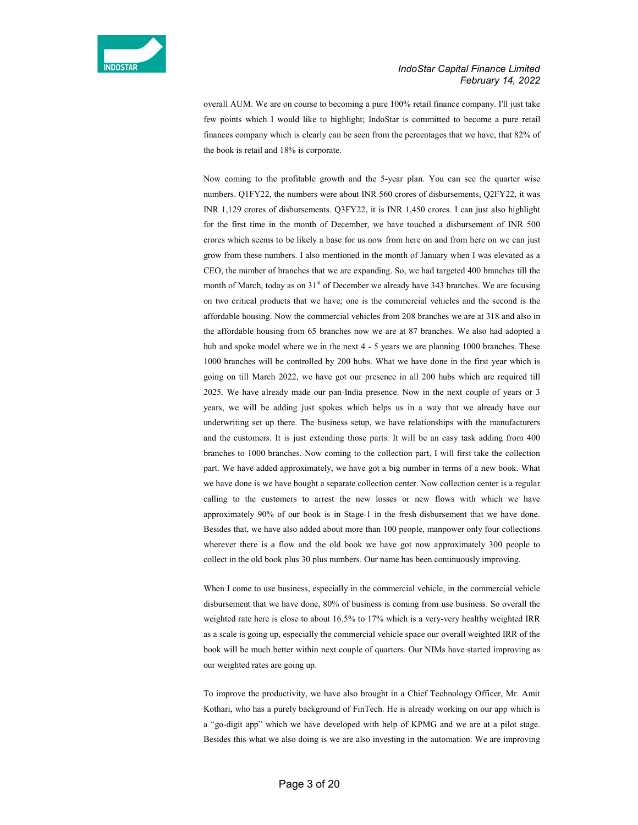

overall AUM. We are on course to becoming a pure 100% retail finance company. I'll just take few points which I would like to highlight; IndoStar is committed to become a pure retail finances company which is clearly can be seen from the percentages that we have, that 82% of the book is retail and 18% is corporate.

Now coming to the profitable growth and the 5-year plan. You can see the quarter wise numbers. Q1FY22, the numbers were about INR 560 crores of disbursements, Q2FY22, it was INR 1,129 crores of disbursements. Q3FY22, it is INR 1,450 crores. I can just also highlight for the first time in the month of December, we have touched a disbursement of INR 500 crores which seems to be likely a base for us now from here on and from here on we can just grow from these numbers. I also mentioned in the month of January when I was elevated as a CEO, the number of branches that we are expanding. So, we had targeted 400 branches till the month of March, today as on  $31<sup>st</sup>$  of December we already have 343 branches. We are focusing on two critical products that we have; one is the commercial vehicles and the second is the affordable housing. Now the commercial vehicles from 208 branches we are at 318 and also in the affordable housing from 65 branches now we are at 87 branches. We also had adopted a hub and spoke model where we in the next 4 - 5 years we are planning 1000 branches. These 1000 branches will be controlled by 200 hubs. What we have done in the first year which is going on till March 2022, we have got our presence in all 200 hubs which are required till 2025. We have already made our pan-India presence. Now in the next couple of years or 3 years, we will be adding just spokes which helps us in a way that we already have our underwriting set up there. The business setup, we have relationships with the manufacturers and the customers. It is just extending those parts. It will be an easy task adding from 400 branches to 1000 branches. Now coming to the collection part, I will first take the collection part. We have added approximately, we have got a big number in terms of a new book. What we have done is we have bought a separate collection center. Now collection center is a regular calling to the customers to arrest the new losses or new flows with which we have approximately 90% of our book is in Stage-1 in the fresh disbursement that we have done. Besides that, we have also added about more than 100 people, manpower only four collections wherever there is a flow and the old book we have got now approximately 300 people to collect in the old book plus 30 plus numbers. Our name has been continuously improving.

When I come to use business, especially in the commercial vehicle, in the commercial vehicle disbursement that we have done, 80% of business is coming from use business. So overall the weighted rate here is close to about 16.5% to 17% which is a very-very healthy weighted IRR as a scale is going up, especially the commercial vehicle space our overall weighted IRR of the book will be much better within next couple of quarters. Our NIMs have started improving as our weighted rates are going up.

To improve the productivity, we have also brought in a Chief Technology Officer, Mr. Amit Kothari, who has a purely background of FinTech. He is already working on our app which is a "go-digit app" which we have developed with help of KPMG and we are at a pilot stage. Besides this what we also doing is we are also investing in the automation. We are improving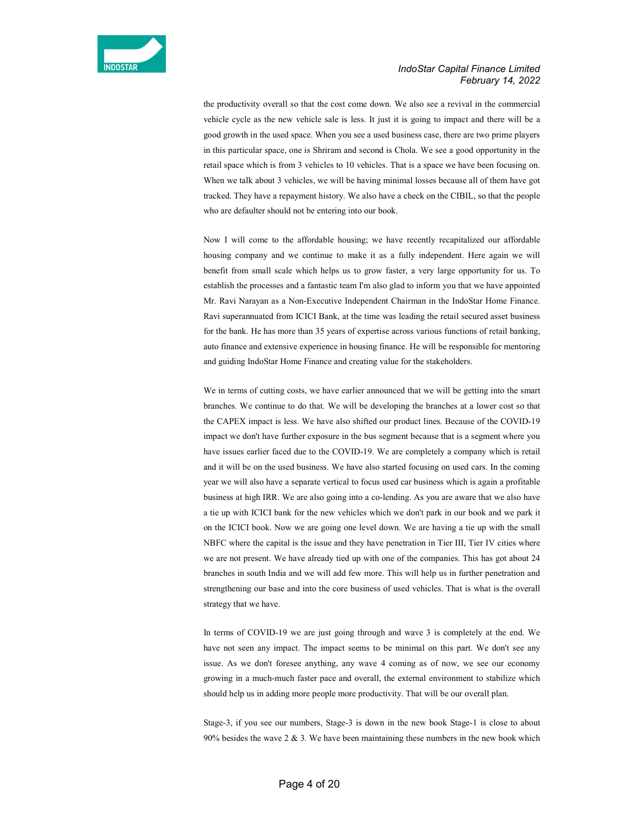

the productivity overall so that the cost come down. We also see a revival in the commercial vehicle cycle as the new vehicle sale is less. It just it is going to impact and there will be a good growth in the used space. When you see a used business case, there are two prime players in this particular space, one is Shriram and second is Chola. We see a good opportunity in the retail space which is from 3 vehicles to 10 vehicles. That is a space we have been focusing on. When we talk about 3 vehicles, we will be having minimal losses because all of them have got tracked. They have a repayment history. We also have a check on the CIBIL, so that the people who are defaulter should not be entering into our book.

Now I will come to the affordable housing; we have recently recapitalized our affordable housing company and we continue to make it as a fully independent. Here again we will benefit from small scale which helps us to grow faster, a very large opportunity for us. To establish the processes and a fantastic team I'm also glad to inform you that we have appointed Mr. Ravi Narayan as a Non-Executive Independent Chairman in the IndoStar Home Finance. Ravi superannuated from ICICI Bank, at the time was leading the retail secured asset business for the bank. He has more than 35 years of expertise across various functions of retail banking, auto finance and extensive experience in housing finance. He will be responsible for mentoring and guiding IndoStar Home Finance and creating value for the stakeholders.

We in terms of cutting costs, we have earlier announced that we will be getting into the smart branches. We continue to do that. We will be developing the branches at a lower cost so that the CAPEX impact is less. We have also shifted our product lines. Because of the COVID-19 impact we don't have further exposure in the bus segment because that is a segment where you have issues earlier faced due to the COVID-19. We are completely a company which is retail and it will be on the used business. We have also started focusing on used cars. In the coming year we will also have a separate vertical to focus used car business which is again a profitable business at high IRR. We are also going into a co-lending. As you are aware that we also have a tie up with ICICI bank for the new vehicles which we don't park in our book and we park it on the ICICI book. Now we are going one level down. We are having a tie up with the small NBFC where the capital is the issue and they have penetration in Tier III, Tier IV cities where we are not present. We have already tied up with one of the companies. This has got about 24 branches in south India and we will add few more. This will help us in further penetration and strengthening our base and into the core business of used vehicles. That is what is the overall strategy that we have.

In terms of COVID-19 we are just going through and wave 3 is completely at the end. We have not seen any impact. The impact seems to be minimal on this part. We don't see any issue. As we don't foresee anything, any wave 4 coming as of now, we see our economy growing in a much-much faster pace and overall, the external environment to stabilize which should help us in adding more people more productivity. That will be our overall plan.

Stage-3, if you see our numbers, Stage-3 is down in the new book Stage-1 is close to about 90% besides the wave  $2 \& 3$ . We have been maintaining these numbers in the new book which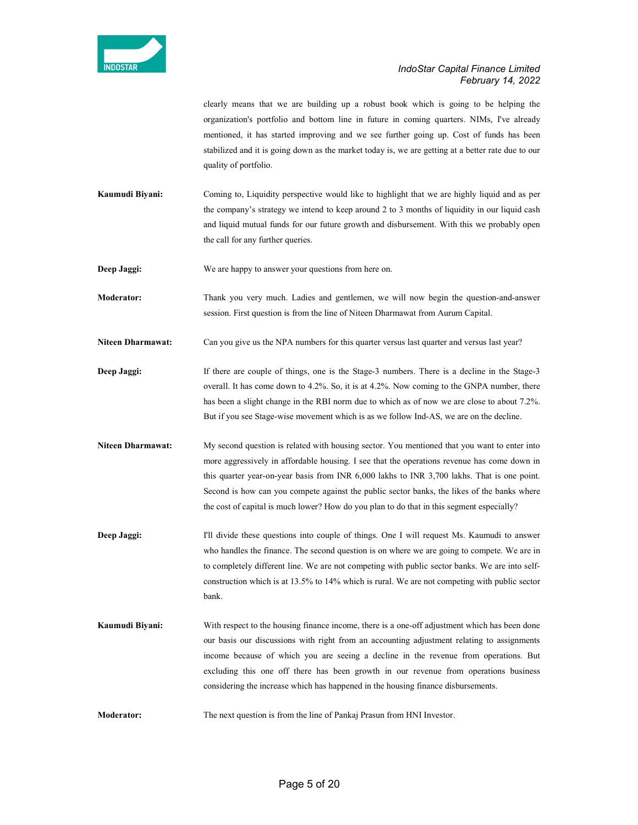

clearly means that we are building up a robust book which is going to be helping the organization's portfolio and bottom line in future in coming quarters. NIMs, I've already mentioned, it has started improving and we see further going up. Cost of funds has been stabilized and it is going down as the market today is, we are getting at a better rate due to our quality of portfolio.

Kaumudi Biyani: Coming to, Liquidity perspective would like to highlight that we are highly liquid and as per the company's strategy we intend to keep around 2 to 3 months of liquidity in our liquid cash and liquid mutual funds for our future growth and disbursement. With this we probably open the call for any further queries.

Deep Jaggi: We are happy to answer your questions from here on.

Moderator: Thank you very much. Ladies and gentlemen, we will now begin the question-and-answer session. First question is from the line of Niteen Dharmawat from Aurum Capital.

Niteen Dharmawat: Can you give us the NPA numbers for this quarter versus last quarter and versus last year?

Deep Jaggi: If there are couple of things, one is the Stage-3 numbers. There is a decline in the Stage-3 overall. It has come down to 4.2%. So, it is at 4.2%. Now coming to the GNPA number, there has been a slight change in the RBI norm due to which as of now we are close to about 7.2%. But if you see Stage-wise movement which is as we follow Ind-AS, we are on the decline.

Niteen Dharmawat: My second question is related with housing sector. You mentioned that you want to enter into more aggressively in affordable housing. I see that the operations revenue has come down in this quarter year-on-year basis from INR 6,000 lakhs to INR 3,700 lakhs. That is one point. Second is how can you compete against the public sector banks, the likes of the banks where the cost of capital is much lower? How do you plan to do that in this segment especially?

Deep Jaggi: I'll divide these questions into couple of things. One I will request Ms. Kaumudi to answer who handles the finance. The second question is on where we are going to compete. We are in to completely different line. We are not competing with public sector banks. We are into selfconstruction which is at 13.5% to 14% which is rural. We are not competing with public sector bank.

Kaumudi Biyani: With respect to the housing finance income, there is a one-off adjustment which has been done our basis our discussions with right from an accounting adjustment relating to assignments income because of which you are seeing a decline in the revenue from operations. But excluding this one off there has been growth in our revenue from operations business considering the increase which has happened in the housing finance disbursements.

Moderator: The next question is from the line of Pankaj Prasun from HNI Investor.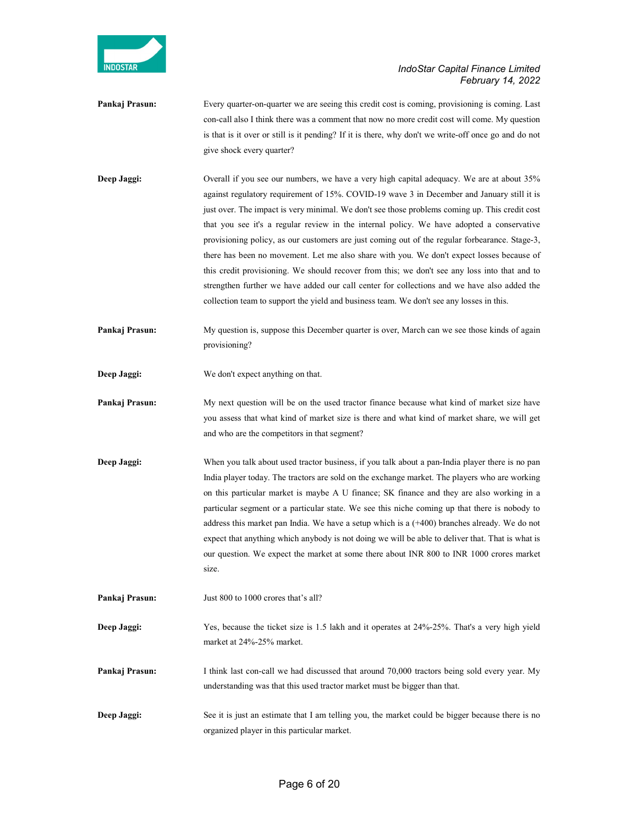

- Pankaj Prasun: Every quarter-on-quarter we are seeing this credit cost is coming, provisioning is coming. Last con-call also I think there was a comment that now no more credit cost will come. My question is that is it over or still is it pending? If it is there, why don't we write-off once go and do not give shock every quarter?
- Deep Jaggi: Overall if you see our numbers, we have a very high capital adequacy. We are at about 35% against regulatory requirement of 15%. COVID-19 wave 3 in December and January still it is just over. The impact is very minimal. We don't see those problems coming up. This credit cost that you see it's a regular review in the internal policy. We have adopted a conservative provisioning policy, as our customers are just coming out of the regular forbearance. Stage-3, there has been no movement. Let me also share with you. We don't expect losses because of this credit provisioning. We should recover from this; we don't see any loss into that and to strengthen further we have added our call center for collections and we have also added the collection team to support the yield and business team. We don't see any losses in this.
- **Pankaj Prasun:** My question is, suppose this December quarter is over, March can we see those kinds of again provisioning?
- Deep Jaggi: We don't expect anything on that.
- Pankaj Prasun: My next question will be on the used tractor finance because what kind of market size have you assess that what kind of market size is there and what kind of market share, we will get and who are the competitors in that segment?
- Deep Jaggi: When you talk about used tractor business, if you talk about a pan-India player there is no pan India player today. The tractors are sold on the exchange market. The players who are working on this particular market is maybe A U finance; SK finance and they are also working in a particular segment or a particular state. We see this niche coming up that there is nobody to address this market pan India. We have a setup which is a  $(+400)$  branches already. We do not expect that anything which anybody is not doing we will be able to deliver that. That is what is our question. We expect the market at some there about INR 800 to INR 1000 crores market size.
- Pankaj Prasun: Just 800 to 1000 crores that's all?
- Deep Jaggi: Yes, because the ticket size is 1.5 lakh and it operates at 24%-25%. That's a very high yield market at 24%-25% market.
- Pankaj Prasun: I think last con-call we had discussed that around 70,000 tractors being sold every year. My understanding was that this used tractor market must be bigger than that.
- Deep Jaggi: See it is just an estimate that I am telling you, the market could be bigger because there is no organized player in this particular market.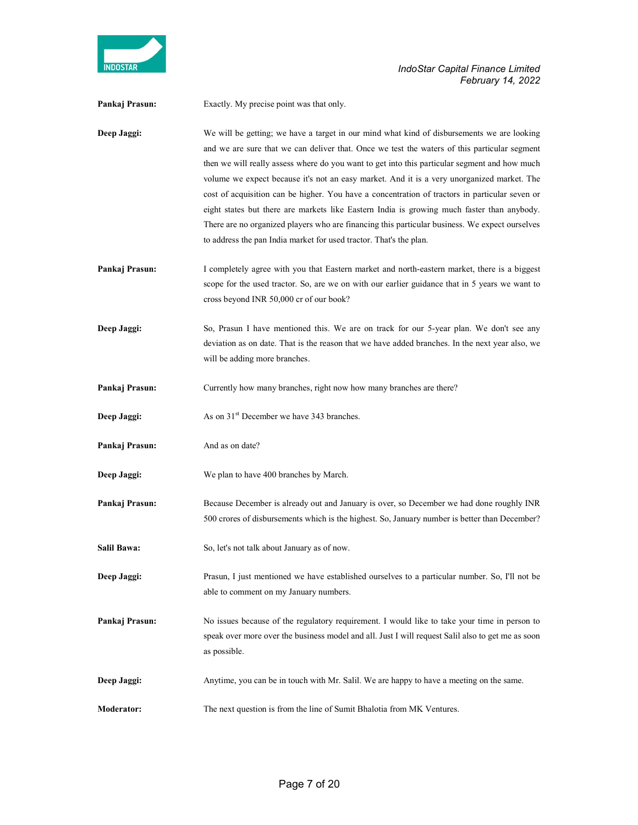

Pankaj Prasun: Exactly. My precise point was that only.

Deep Jaggi: We will be getting; we have a target in our mind what kind of disbursements we are looking and we are sure that we can deliver that. Once we test the waters of this particular segment then we will really assess where do you want to get into this particular segment and how much volume we expect because it's not an easy market. And it is a very unorganized market. The cost of acquisition can be higher. You have a concentration of tractors in particular seven or eight states but there are markets like Eastern India is growing much faster than anybody. There are no organized players who are financing this particular business. We expect ourselves to address the pan India market for used tractor. That's the plan.

- Pankaj Prasun: I completely agree with you that Eastern market and north-eastern market, there is a biggest scope for the used tractor. So, are we on with our earlier guidance that in 5 years we want to cross beyond INR 50,000 cr of our book?
- Deep Jaggi: So, Prasun I have mentioned this. We are on track for our 5-year plan. We don't see any deviation as on date. That is the reason that we have added branches. In the next year also, we will be adding more branches.
- Pankaj Prasun: Currently how many branches, right now how many branches are there?
- Deep Jaggi: As on 31<sup>st</sup> December we have 343 branches.
- Pankaj Prasun: And as on date?
- Deep Jaggi: We plan to have 400 branches by March.
- Pankaj Prasun: Because December is already out and January is over, so December we had done roughly INR 500 crores of disbursements which is the highest. So, January number is better than December?
- Salil Bawa: So, let's not talk about January as of now.
- Deep Jaggi: Prasun, I just mentioned we have established ourselves to a particular number. So, I'll not be able to comment on my January numbers.
- Pankaj Prasun: No issues because of the regulatory requirement. I would like to take your time in person to speak over more over the business model and all. Just I will request Salil also to get me as soon as possible.
- Deep Jaggi: Anytime, you can be in touch with Mr. Salil. We are happy to have a meeting on the same.
- Moderator: The next question is from the line of Sumit Bhalotia from MK Ventures.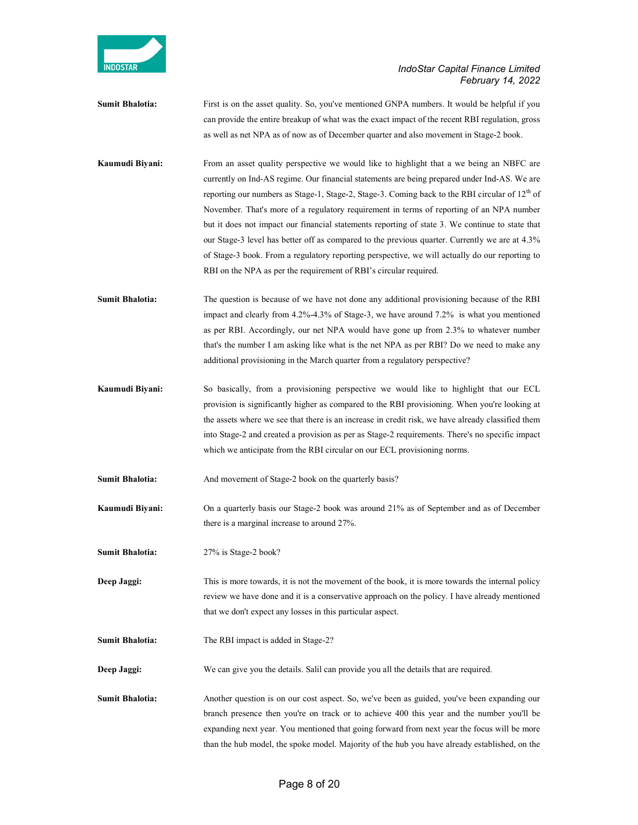

Sumit Bhalotia: First is on the asset quality. So, you've mentioned GNPA numbers. It would be helpful if you can provide the entire breakup of what was the exact impact of the recent RBI regulation, gross as well as net NPA as of now as of December quarter and also movement in Stage-2 book.

Kaumudi Biyani: From an asset quality perspective we would like to highlight that a we being an NBFC are currently on Ind-AS regime. Our financial statements are being prepared under Ind-AS. We are reporting our numbers as Stage-1, Stage-2, Stage-3. Coming back to the RBI circular of  $12<sup>th</sup>$  of November. That's more of a regulatory requirement in terms of reporting of an NPA number but it does not impact our financial statements reporting of state 3. We continue to state that our Stage-3 level has better off as compared to the previous quarter. Currently we are at 4.3% of Stage-3 book. From a regulatory reporting perspective, we will actually do our reporting to RBI on the NPA as per the requirement of RBI's circular required.

Sumit Bhalotia: The question is because of we have not done any additional provisioning because of the RBI impact and clearly from 4.2%-4.3% of Stage-3, we have around 7.2% is what you mentioned as per RBI. Accordingly, our net NPA would have gone up from 2.3% to whatever number that's the number I am asking like what is the net NPA as per RBI? Do we need to make any additional provisioning in the March quarter from a regulatory perspective?

- Kaumudi Biyani: So basically, from a provisioning perspective we would like to highlight that our ECL provision is significantly higher as compared to the RBI provisioning. When you're looking at the assets where we see that there is an increase in credit risk, we have already classified them into Stage-2 and created a provision as per as Stage-2 requirements. There's no specific impact which we anticipate from the RBI circular on our ECL provisioning norms.
- Sumit Bhalotia: And movement of Stage-2 book on the quarterly basis?
- Kaumudi Biyani: On a quarterly basis our Stage-2 book was around 21% as of September and as of December there is a marginal increase to around 27%.
- Sumit Bhalotia: 27% is Stage-2 book?

Deep Jaggi: This is more towards, it is not the movement of the book, it is more towards the internal policy review we have done and it is a conservative approach on the policy. I have already mentioned that we don't expect any losses in this particular aspect.

Sumit Bhalotia: The RBI impact is added in Stage-2?

Deep Jaggi: We can give you the details. Salil can provide you all the details that are required.

Sumit Bhalotia: Another question is on our cost aspect. So, we've been as guided, you've been expanding our branch presence then you're on track or to achieve 400 this year and the number you'll be expanding next year. You mentioned that going forward from next year the focus will be more than the hub model, the spoke model. Majority of the hub you have already established, on the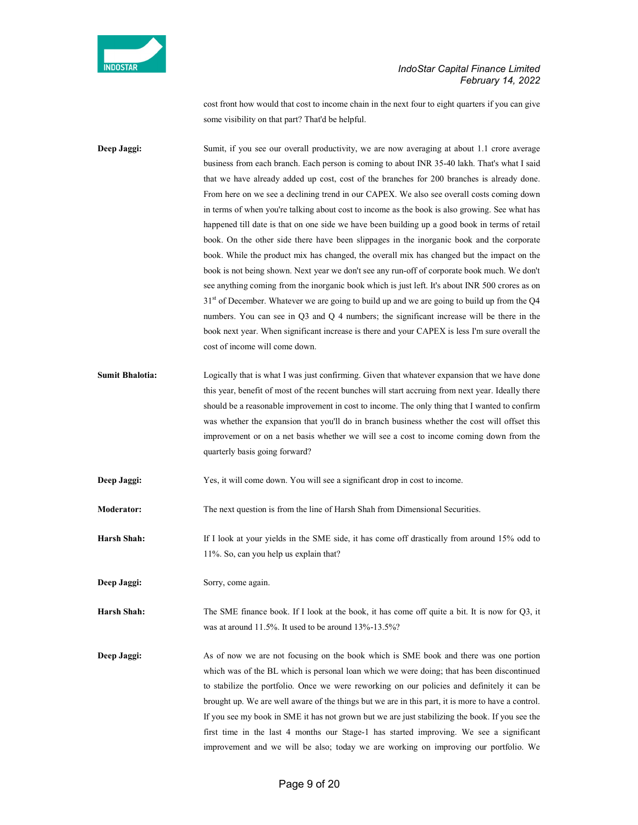

cost front how would that cost to income chain in the next four to eight quarters if you can give some visibility on that part? That'd be helpful.

Deep Jaggi: Sumit, if you see our overall productivity, we are now averaging at about 1.1 crore average business from each branch. Each person is coming to about INR 35-40 lakh. That's what I said that we have already added up cost, cost of the branches for 200 branches is already done. From here on we see a declining trend in our CAPEX. We also see overall costs coming down in terms of when you're talking about cost to income as the book is also growing. See what has happened till date is that on one side we have been building up a good book in terms of retail book. On the other side there have been slippages in the inorganic book and the corporate book. While the product mix has changed, the overall mix has changed but the impact on the book is not being shown. Next year we don't see any run-off of corporate book much. We don't see anything coming from the inorganic book which is just left. It's about INR 500 crores as on  $31<sup>st</sup>$  of December. Whatever we are going to build up and we are going to build up from the Q4 numbers. You can see in Q3 and Q 4 numbers; the significant increase will be there in the book next year. When significant increase is there and your CAPEX is less I'm sure overall the cost of income will come down.

- Sumit Bhalotia: Logically that is what I was just confirming. Given that whatever expansion that we have done this year, benefit of most of the recent bunches will start accruing from next year. Ideally there should be a reasonable improvement in cost to income. The only thing that I wanted to confirm was whether the expansion that you'll do in branch business whether the cost will offset this improvement or on a net basis whether we will see a cost to income coming down from the quarterly basis going forward?
- Deep Jaggi: Yes, it will come down. You will see a significant drop in cost to income.

Moderator: The next question is from the line of Harsh Shah from Dimensional Securities.

Harsh Shah: If I look at your yields in the SME side, it has come off drastically from around 15% odd to 11%. So, can you help us explain that?

Deep Jaggi: Sorry, come again.

Harsh Shah: The SME finance book. If I look at the book, it has come off quite a bit. It is now for Q3, it was at around 11.5%. It used to be around 13%-13.5%?

Deep Jaggi: As of now we are not focusing on the book which is SME book and there was one portion which was of the BL which is personal loan which we were doing; that has been discontinued to stabilize the portfolio. Once we were reworking on our policies and definitely it can be brought up. We are well aware of the things but we are in this part, it is more to have a control. If you see my book in SME it has not grown but we are just stabilizing the book. If you see the first time in the last 4 months our Stage-1 has started improving. We see a significant improvement and we will be also; today we are working on improving our portfolio. We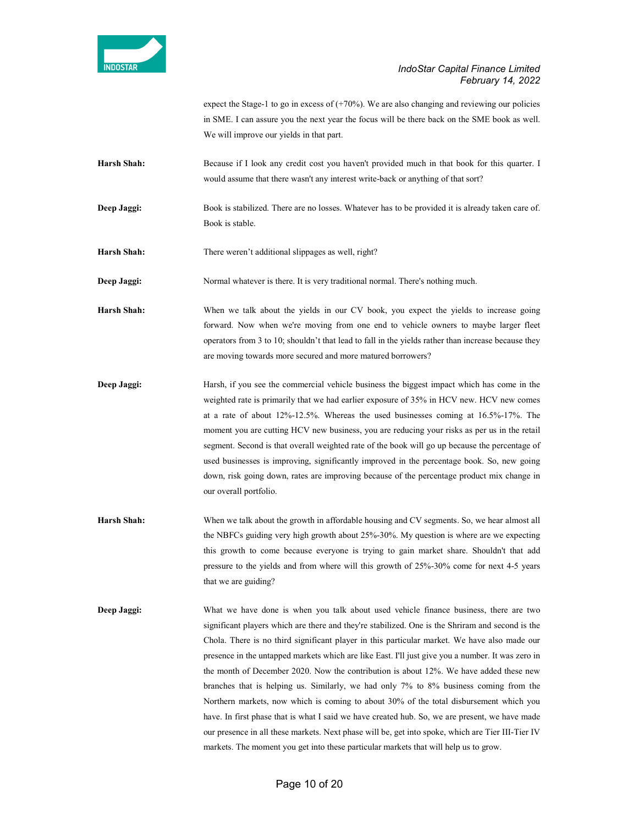

expect the Stage-1 to go in excess of  $(+70%)$ . We are also changing and reviewing our policies in SME. I can assure you the next year the focus will be there back on the SME book as well. We will improve our yields in that part.

Harsh Shah: Because if I look any credit cost you haven't provided much in that book for this quarter. I would assume that there wasn't any interest write-back or anything of that sort?

Deep Jaggi: Book is stabilized. There are no losses. Whatever has to be provided it is already taken care of. Book is stable.

Harsh Shah: There weren't additional slippages as well, right?

Deep Jaggi: Normal whatever is there. It is very traditional normal. There's nothing much.

Harsh Shah: When we talk about the yields in our CV book, you expect the yields to increase going forward. Now when we're moving from one end to vehicle owners to maybe larger fleet operators from 3 to 10; shouldn't that lead to fall in the yields rather than increase because they are moving towards more secured and more matured borrowers?

Deep Jaggi: Harsh, if you see the commercial vehicle business the biggest impact which has come in the weighted rate is primarily that we had earlier exposure of 35% in HCV new. HCV new comes at a rate of about 12%-12.5%. Whereas the used businesses coming at 16.5%-17%. The moment you are cutting HCV new business, you are reducing your risks as per us in the retail segment. Second is that overall weighted rate of the book will go up because the percentage of used businesses is improving, significantly improved in the percentage book. So, new going down, risk going down, rates are improving because of the percentage product mix change in our overall portfolio.

- Harsh Shah: When we talk about the growth in affordable housing and CV segments. So, we hear almost all the NBFCs guiding very high growth about 25%-30%. My question is where are we expecting this growth to come because everyone is trying to gain market share. Shouldn't that add pressure to the yields and from where will this growth of 25%-30% come for next 4-5 years that we are guiding?
- Deep Jaggi: What we have done is when you talk about used vehicle finance business, there are two significant players which are there and they're stabilized. One is the Shriram and second is the Chola. There is no third significant player in this particular market. We have also made our presence in the untapped markets which are like East. I'll just give you a number. It was zero in the month of December 2020. Now the contribution is about 12%. We have added these new branches that is helping us. Similarly, we had only 7% to 8% business coming from the Northern markets, now which is coming to about 30% of the total disbursement which you have. In first phase that is what I said we have created hub. So, we are present, we have made our presence in all these markets. Next phase will be, get into spoke, which are Tier III-Tier IV markets. The moment you get into these particular markets that will help us to grow.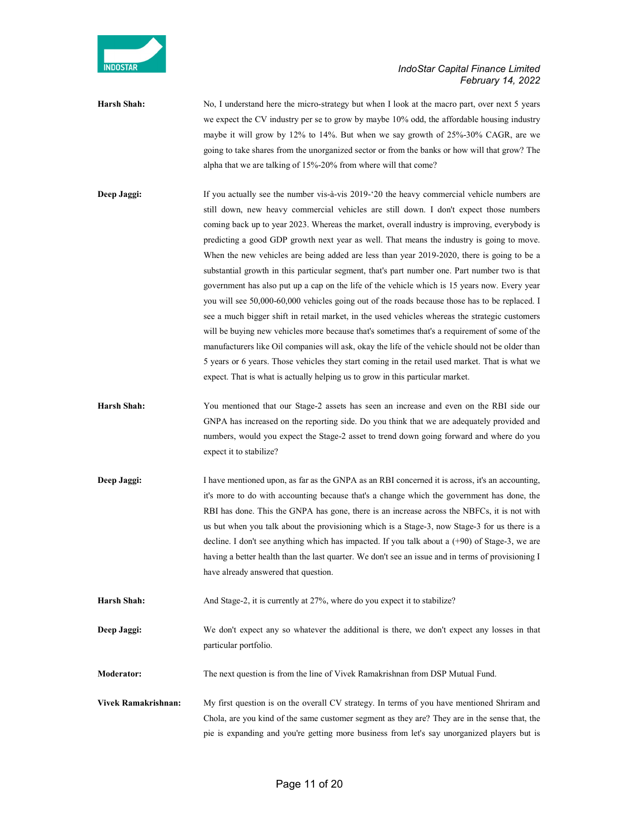

Harsh Shah: No, I understand here the micro-strategy but when I look at the macro part, over next 5 years we expect the CV industry per se to grow by maybe 10% odd, the affordable housing industry maybe it will grow by 12% to 14%. But when we say growth of 25%-30% CAGR, are we going to take shares from the unorganized sector or from the banks or how will that grow? The alpha that we are talking of 15%-20% from where will that come?

Deep Jaggi: If you actually see the number vis-à-vis 2019-'20 the heavy commercial vehicle numbers are still down, new heavy commercial vehicles are still down. I don't expect those numbers coming back up to year 2023. Whereas the market, overall industry is improving, everybody is predicting a good GDP growth next year as well. That means the industry is going to move. When the new vehicles are being added are less than year 2019-2020, there is going to be a substantial growth in this particular segment, that's part number one. Part number two is that government has also put up a cap on the life of the vehicle which is 15 years now. Every year you will see 50,000-60,000 vehicles going out of the roads because those has to be replaced. I see a much bigger shift in retail market, in the used vehicles whereas the strategic customers will be buying new vehicles more because that's sometimes that's a requirement of some of the manufacturers like Oil companies will ask, okay the life of the vehicle should not be older than 5 years or 6 years. Those vehicles they start coming in the retail used market. That is what we expect. That is what is actually helping us to grow in this particular market.

- Harsh Shah: You mentioned that our Stage-2 assets has seen an increase and even on the RBI side our GNPA has increased on the reporting side. Do you think that we are adequately provided and numbers, would you expect the Stage-2 asset to trend down going forward and where do you expect it to stabilize?
- Deep Jaggi: I have mentioned upon, as far as the GNPA as an RBI concerned it is across, it's an accounting, it's more to do with accounting because that's a change which the government has done, the RBI has done. This the GNPA has gone, there is an increase across the NBFCs, it is not with us but when you talk about the provisioning which is a Stage-3, now Stage-3 for us there is a decline. I don't see anything which has impacted. If you talk about a (+90) of Stage-3, we are having a better health than the last quarter. We don't see an issue and in terms of provisioning I have already answered that question.
- Harsh Shah: And Stage-2, it is currently at 27%, where do you expect it to stabilize?

Deep Jaggi: We don't expect any so whatever the additional is there, we don't expect any losses in that particular portfolio.

Moderator: The next question is from the line of Vivek Ramakrishnan from DSP Mutual Fund.

Vivek Ramakrishnan: My first question is on the overall CV strategy. In terms of you have mentioned Shriram and Chola, are you kind of the same customer segment as they are? They are in the sense that, the pie is expanding and you're getting more business from let's say unorganized players but is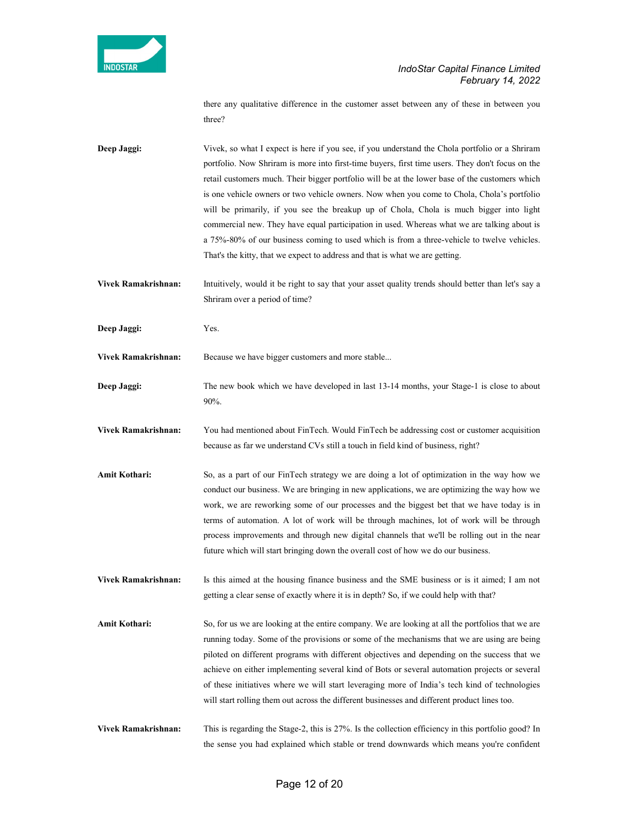

there any qualitative difference in the customer asset between any of these in between you three?

Deep Jaggi: Vivek, so what I expect is here if you see, if you understand the Chola portfolio or a Shriram portfolio. Now Shriram is more into first-time buyers, first time users. They don't focus on the retail customers much. Their bigger portfolio will be at the lower base of the customers which is one vehicle owners or two vehicle owners. Now when you come to Chola, Chola's portfolio will be primarily, if you see the breakup up of Chola, Chola is much bigger into light commercial new. They have equal participation in used. Whereas what we are talking about is a 75%-80% of our business coming to used which is from a three-vehicle to twelve vehicles. That's the kitty, that we expect to address and that is what we are getting.

Vivek Ramakrishnan: Intuitively, would it be right to say that your asset quality trends should better than let's say a Shriram over a period of time?

Deep Jaggi: Yes.

Vivek Ramakrishnan: Because we have bigger customers and more stable...

Deep Jaggi: The new book which we have developed in last 13-14 months, your Stage-1 is close to about 90%.

Vivek Ramakrishnan: You had mentioned about FinTech. Would FinTech be addressing cost or customer acquisition because as far we understand CVs still a touch in field kind of business, right?

Amit Kothari: So, as a part of our FinTech strategy we are doing a lot of optimization in the way how we conduct our business. We are bringing in new applications, we are optimizing the way how we work, we are reworking some of our processes and the biggest bet that we have today is in terms of automation. A lot of work will be through machines, lot of work will be through process improvements and through new digital channels that we'll be rolling out in the near future which will start bringing down the overall cost of how we do our business.

Vivek Ramakrishnan: Is this aimed at the housing finance business and the SME business or is it aimed; I am not getting a clear sense of exactly where it is in depth? So, if we could help with that?

Amit Kothari: So, for us we are looking at the entire company. We are looking at all the portfolios that we are running today. Some of the provisions or some of the mechanisms that we are using are being piloted on different programs with different objectives and depending on the success that we achieve on either implementing several kind of Bots or several automation projects or several of these initiatives where we will start leveraging more of India's tech kind of technologies will start rolling them out across the different businesses and different product lines too.

Vivek Ramakrishnan: This is regarding the Stage-2, this is 27%. Is the collection efficiency in this portfolio good? In the sense you had explained which stable or trend downwards which means you're confident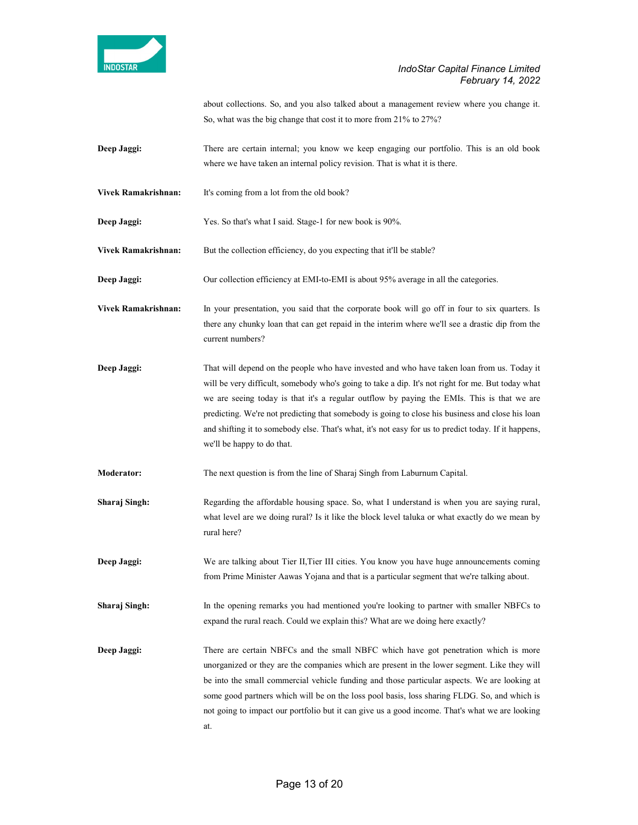

about collections. So, and you also talked about a management review where you change it. So, what was the big change that cost it to more from 21% to 27%?

- Deep Jaggi: There are certain internal; you know we keep engaging our portfolio. This is an old book where we have taken an internal policy revision. That is what it is there.
- Vivek Ramakrishnan: It's coming from a lot from the old book?
- Deep Jaggi: Yes. So that's what I said. Stage-1 for new book is 90%.
- Vivek Ramakrishnan: But the collection efficiency, do you expecting that it'll be stable?
- Deep Jaggi: Our collection efficiency at EMI-to-EMI is about 95% average in all the categories.
- Vivek Ramakrishnan: In your presentation, you said that the corporate book will go off in four to six quarters. Is there any chunky loan that can get repaid in the interim where we'll see a drastic dip from the current numbers?
- Deep Jaggi: That will depend on the people who have invested and who have taken loan from us. Today it will be very difficult, somebody who's going to take a dip. It's not right for me. But today what we are seeing today is that it's a regular outflow by paying the EMIs. This is that we are predicting. We're not predicting that somebody is going to close his business and close his loan and shifting it to somebody else. That's what, it's not easy for us to predict today. If it happens, we'll be happy to do that.
- Moderator: The next question is from the line of Sharaj Singh from Laburnum Capital.
- Sharaj Singh: Regarding the affordable housing space. So, what I understand is when you are saying rural, what level are we doing rural? Is it like the block level taluka or what exactly do we mean by rural here?
- Deep Jaggi: We are talking about Tier II, Tier III cities. You know you have huge announcements coming from Prime Minister Aawas Yojana and that is a particular segment that we're talking about.
- Sharaj Singh: In the opening remarks you had mentioned you're looking to partner with smaller NBFCs to expand the rural reach. Could we explain this? What are we doing here exactly?
- Deep Jaggi: There are certain NBFCs and the small NBFC which have got penetration which is more unorganized or they are the companies which are present in the lower segment. Like they will be into the small commercial vehicle funding and those particular aspects. We are looking at some good partners which will be on the loss pool basis, loss sharing FLDG. So, and which is not going to impact our portfolio but it can give us a good income. That's what we are looking at.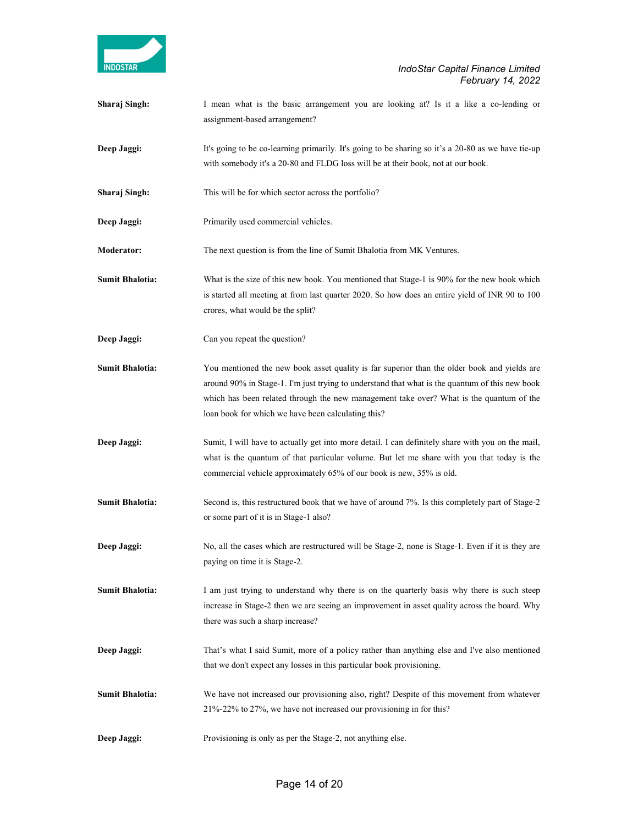

Sharaj Singh: I mean what is the basic arrangement you are looking at? Is it a like a co-lending or assignment-based arrangement? Deep Jaggi: It's going to be co-learning primarily. It's going to be sharing so it's a 20-80 as we have tie-up with somebody it's a 20-80 and FLDG loss will be at their book, not at our book. Sharaj Singh: This will be for which sector across the portfolio? Deep Jaggi: Primarily used commercial vehicles. Moderator: The next question is from the line of Sumit Bhalotia from MK Ventures. Sumit Bhalotia: What is the size of this new book. You mentioned that Stage-1 is 90% for the new book which is started all meeting at from last quarter 2020. So how does an entire yield of INR 90 to 100 crores, what would be the split? Deep Jaggi: Can you repeat the question? Sumit Bhalotia: You mentioned the new book asset quality is far superior than the older book and yields are around 90% in Stage-1. I'm just trying to understand that what is the quantum of this new book which has been related through the new management take over? What is the quantum of the loan book for which we have been calculating this? Deep Jaggi: Sumit, I will have to actually get into more detail. I can definitely share with you on the mail, what is the quantum of that particular volume. But let me share with you that today is the commercial vehicle approximately 65% of our book is new, 35% is old. Sumit Bhalotia: Second is, this restructured book that we have of around 7%. Is this completely part of Stage-2 or some part of it is in Stage-1 also? Deep Jaggi: No, all the cases which are restructured will be Stage-2, none is Stage-1. Even if it is they are paying on time it is Stage-2. Sumit Bhalotia: I am just trying to understand why there is on the quarterly basis why there is such steep increase in Stage-2 then we are seeing an improvement in asset quality across the board. Why there was such a sharp increase? Deep Jaggi: That's what I said Sumit, more of a policy rather than anything else and I've also mentioned that we don't expect any losses in this particular book provisioning. Sumit Bhalotia: We have not increased our provisioning also, right? Despite of this movement from whatever 21%-22% to 27%, we have not increased our provisioning in for this? Deep Jaggi: Provisioning is only as per the Stage-2, not anything else.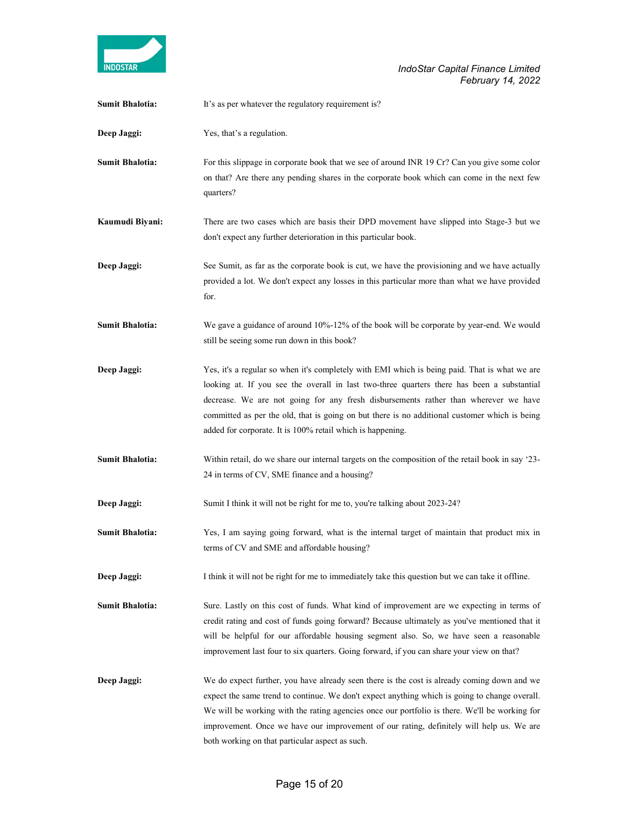

| <b>Sumit Bhalotia:</b> | It's as per whatever the regulatory requirement is?                                                                                                                                                                                                                                                                                                                                                                                               |
|------------------------|---------------------------------------------------------------------------------------------------------------------------------------------------------------------------------------------------------------------------------------------------------------------------------------------------------------------------------------------------------------------------------------------------------------------------------------------------|
| Deep Jaggi:            | Yes, that's a regulation.                                                                                                                                                                                                                                                                                                                                                                                                                         |
| <b>Sumit Bhalotia:</b> | For this slippage in corporate book that we see of around INR 19 Cr? Can you give some color<br>on that? Are there any pending shares in the corporate book which can come in the next few<br>quarters?                                                                                                                                                                                                                                           |
| Kaumudi Biyani:        | There are two cases which are basis their DPD movement have slipped into Stage-3 but we<br>don't expect any further deterioration in this particular book.                                                                                                                                                                                                                                                                                        |
| Deep Jaggi:            | See Sumit, as far as the corporate book is cut, we have the provisioning and we have actually<br>provided a lot. We don't expect any losses in this particular more than what we have provided<br>for.                                                                                                                                                                                                                                            |
| <b>Sumit Bhalotia:</b> | We gave a guidance of around 10%-12% of the book will be corporate by year-end. We would<br>still be seeing some run down in this book?                                                                                                                                                                                                                                                                                                           |
| Deep Jaggi:            | Yes, it's a regular so when it's completely with EMI which is being paid. That is what we are<br>looking at. If you see the overall in last two-three quarters there has been a substantial<br>decrease. We are not going for any fresh disbursements rather than wherever we have<br>committed as per the old, that is going on but there is no additional customer which is being<br>added for corporate. It is 100% retail which is happening. |
| <b>Sumit Bhalotia:</b> | Within retail, do we share our internal targets on the composition of the retail book in say '23-<br>24 in terms of CV, SME finance and a housing?                                                                                                                                                                                                                                                                                                |
| Deep Jaggi:            | Sumit I think it will not be right for me to, you're talking about 2023-24?                                                                                                                                                                                                                                                                                                                                                                       |
| <b>Sumit Bhalotia:</b> | Yes, I am saying going forward, what is the internal target of maintain that product mix in<br>terms of CV and SME and affordable housing?                                                                                                                                                                                                                                                                                                        |
| Deep Jaggi:            | I think it will not be right for me to immediately take this question but we can take it offline.                                                                                                                                                                                                                                                                                                                                                 |
| <b>Sumit Bhalotia:</b> | Sure. Lastly on this cost of funds. What kind of improvement are we expecting in terms of<br>credit rating and cost of funds going forward? Because ultimately as you've mentioned that it<br>will be helpful for our affordable housing segment also. So, we have seen a reasonable<br>improvement last four to six quarters. Going forward, if you can share your view on that?                                                                 |
| Deep Jaggi:            | We do expect further, you have already seen there is the cost is already coming down and we<br>expect the same trend to continue. We don't expect anything which is going to change overall.<br>We will be working with the rating agencies once our portfolio is there. We'll be working for<br>improvement. Once we have our improvement of our rating, definitely will help us. We are<br>both working on that particular aspect as such.      |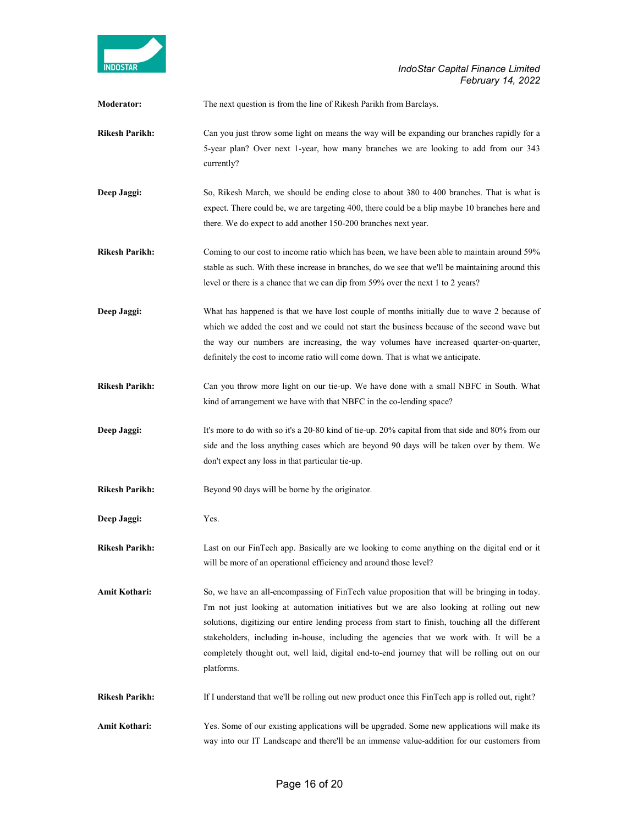

| Moderator:            | The next question is from the line of Rikesh Parikh from Barclays.                                                                                                                                                                                                                                                                                                                                                                                                                                        |  |
|-----------------------|-----------------------------------------------------------------------------------------------------------------------------------------------------------------------------------------------------------------------------------------------------------------------------------------------------------------------------------------------------------------------------------------------------------------------------------------------------------------------------------------------------------|--|
| <b>Rikesh Parikh:</b> | Can you just throw some light on means the way will be expanding our branches rapidly for a<br>5-year plan? Over next 1-year, how many branches we are looking to add from our 343<br>currently?                                                                                                                                                                                                                                                                                                          |  |
| Deep Jaggi:           | So, Rikesh March, we should be ending close to about 380 to 400 branches. That is what is<br>expect. There could be, we are targeting 400, there could be a blip maybe 10 branches here and<br>there. We do expect to add another 150-200 branches next year.                                                                                                                                                                                                                                             |  |
| <b>Rikesh Parikh:</b> | Coming to our cost to income ratio which has been, we have been able to maintain around 59%<br>stable as such. With these increase in branches, do we see that we'll be maintaining around this<br>level or there is a chance that we can dip from 59% over the next 1 to 2 years?                                                                                                                                                                                                                        |  |
| Deep Jaggi:           | What has happened is that we have lost couple of months initially due to wave 2 because of<br>which we added the cost and we could not start the business because of the second wave but<br>the way our numbers are increasing, the way volumes have increased quarter-on-quarter,<br>definitely the cost to income ratio will come down. That is what we anticipate.                                                                                                                                     |  |
| <b>Rikesh Parikh:</b> | Can you throw more light on our tie-up. We have done with a small NBFC in South. What<br>kind of arrangement we have with that NBFC in the co-lending space?                                                                                                                                                                                                                                                                                                                                              |  |
| Deep Jaggi:           | It's more to do with so it's a 20-80 kind of tie-up. 20% capital from that side and 80% from our<br>side and the loss anything cases which are beyond 90 days will be taken over by them. We<br>don't expect any loss in that particular tie-up.                                                                                                                                                                                                                                                          |  |
| <b>Rikesh Parikh:</b> | Beyond 90 days will be borne by the originator.                                                                                                                                                                                                                                                                                                                                                                                                                                                           |  |
| Deep Jaggi:           | Yes.                                                                                                                                                                                                                                                                                                                                                                                                                                                                                                      |  |
| <b>Rikesh Parikh:</b> | Last on our FinTech app. Basically are we looking to come anything on the digital end or it<br>will be more of an operational efficiency and around those level?                                                                                                                                                                                                                                                                                                                                          |  |
| Amit Kothari:         | So, we have an all-encompassing of FinTech value proposition that will be bringing in today.<br>I'm not just looking at automation initiatives but we are also looking at rolling out new<br>solutions, digitizing our entire lending process from start to finish, touching all the different<br>stakeholders, including in-house, including the agencies that we work with. It will be a<br>completely thought out, well laid, digital end-to-end journey that will be rolling out on our<br>platforms. |  |
| Rikesh Parikh:        | If I understand that we'll be rolling out new product once this FinTech app is rolled out, right?                                                                                                                                                                                                                                                                                                                                                                                                         |  |
| Amit Kothari:         | Yes. Some of our existing applications will be upgraded. Some new applications will make its<br>way into our IT Landscape and there'll be an immense value-addition for our customers from                                                                                                                                                                                                                                                                                                                |  |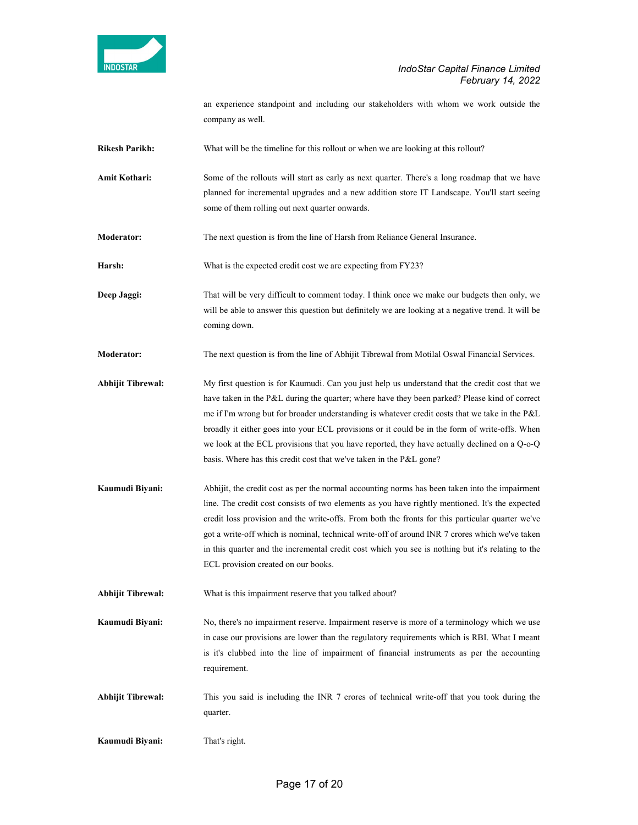

an experience standpoint and including our stakeholders with whom we work outside the company as well.

Rikesh Parikh: What will be the timeline for this rollout or when we are looking at this rollout?

Amit Kothari: Some of the rollouts will start as early as next quarter. There's a long roadmap that we have planned for incremental upgrades and a new addition store IT Landscape. You'll start seeing some of them rolling out next quarter onwards.

Moderator: The next question is from the line of Harsh from Reliance General Insurance.

Harsh: What is the expected credit cost we are expecting from FY23?

Deep Jaggi: That will be very difficult to comment today. I think once we make our budgets then only, we will be able to answer this question but definitely we are looking at a negative trend. It will be coming down.

Moderator: The next question is from the line of Abhijit Tibrewal from Motilal Oswal Financial Services.

- Abhijit Tibrewal: My first question is for Kaumudi. Can you just help us understand that the credit cost that we have taken in the P&L during the quarter; where have they been parked? Please kind of correct me if I'm wrong but for broader understanding is whatever credit costs that we take in the P&L broadly it either goes into your ECL provisions or it could be in the form of write-offs. When we look at the ECL provisions that you have reported, they have actually declined on a Q-o-Q basis. Where has this credit cost that we've taken in the P&L gone?
- Kaumudi Biyani: Abhijit, the credit cost as per the normal accounting norms has been taken into the impairment line. The credit cost consists of two elements as you have rightly mentioned. It's the expected credit loss provision and the write-offs. From both the fronts for this particular quarter we've got a write-off which is nominal, technical write-off of around INR 7 crores which we've taken in this quarter and the incremental credit cost which you see is nothing but it's relating to the ECL provision created on our books.

Abhijit Tibrewal: What is this impairment reserve that you talked about?

- Kaumudi Biyani: No, there's no impairment reserve. Impairment reserve is more of a terminology which we use in case our provisions are lower than the regulatory requirements which is RBI. What I meant is it's clubbed into the line of impairment of financial instruments as per the accounting requirement.
- Abhijit Tibrewal: This you said is including the INR 7 crores of technical write-off that you took during the quarter.
- Kaumudi Biyani: That's right.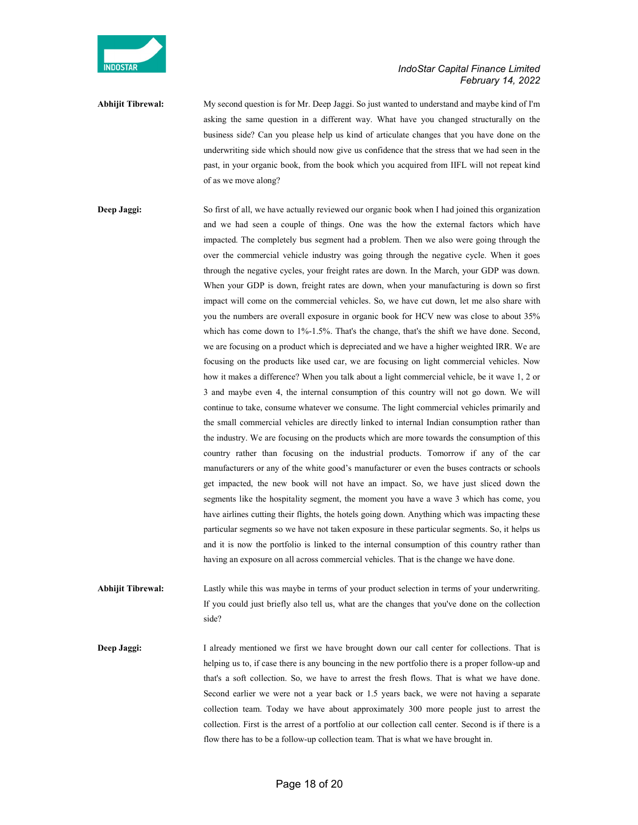

Abhijit Tibrewal: My second question is for Mr. Deep Jaggi. So just wanted to understand and maybe kind of I'm asking the same question in a different way. What have you changed structurally on the business side? Can you please help us kind of articulate changes that you have done on the underwriting side which should now give us confidence that the stress that we had seen in the past, in your organic book, from the book which you acquired from IIFL will not repeat kind of as we move along?

Deep Jaggi: So first of all, we have actually reviewed our organic book when I had joined this organization and we had seen a couple of things. One was the how the external factors which have impacted. The completely bus segment had a problem. Then we also were going through the over the commercial vehicle industry was going through the negative cycle. When it goes through the negative cycles, your freight rates are down. In the March, your GDP was down. When your GDP is down, freight rates are down, when your manufacturing is down so first impact will come on the commercial vehicles. So, we have cut down, let me also share with you the numbers are overall exposure in organic book for HCV new was close to about 35% which has come down to 1%-1.5%. That's the change, that's the shift we have done. Second, we are focusing on a product which is depreciated and we have a higher weighted IRR. We are focusing on the products like used car, we are focusing on light commercial vehicles. Now how it makes a difference? When you talk about a light commercial vehicle, be it wave 1, 2 or 3 and maybe even 4, the internal consumption of this country will not go down. We will continue to take, consume whatever we consume. The light commercial vehicles primarily and the small commercial vehicles are directly linked to internal Indian consumption rather than the industry. We are focusing on the products which are more towards the consumption of this country rather than focusing on the industrial products. Tomorrow if any of the car manufacturers or any of the white good's manufacturer or even the buses contracts or schools get impacted, the new book will not have an impact. So, we have just sliced down the segments like the hospitality segment, the moment you have a wave 3 which has come, you have airlines cutting their flights, the hotels going down. Anything which was impacting these particular segments so we have not taken exposure in these particular segments. So, it helps us and it is now the portfolio is linked to the internal consumption of this country rather than having an exposure on all across commercial vehicles. That is the change we have done.

Abhijit Tibrewal: Lastly while this was maybe in terms of your product selection in terms of your underwriting. If you could just briefly also tell us, what are the changes that you've done on the collection side?

Deep Jaggi: I already mentioned we first we have brought down our call center for collections. That is helping us to, if case there is any bouncing in the new portfolio there is a proper follow-up and that's a soft collection. So, we have to arrest the fresh flows. That is what we have done. Second earlier we were not a year back or 1.5 years back, we were not having a separate collection team. Today we have about approximately 300 more people just to arrest the collection. First is the arrest of a portfolio at our collection call center. Second is if there is a flow there has to be a follow-up collection team. That is what we have brought in.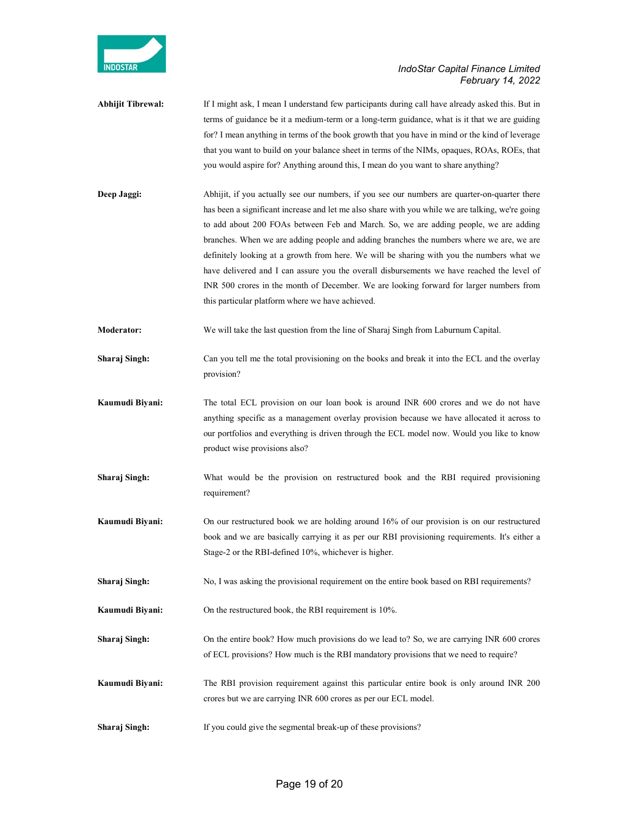

- Abhijit Tibrewal: If I might ask, I mean I understand few participants during call have already asked this. But in terms of guidance be it a medium-term or a long-term guidance, what is it that we are guiding for? I mean anything in terms of the book growth that you have in mind or the kind of leverage that you want to build on your balance sheet in terms of the NIMs, opaques, ROAs, ROEs, that you would aspire for? Anything around this, I mean do you want to share anything?
- Deep Jaggi: Abhijit, if you actually see our numbers, if you see our numbers are quarter-on-quarter there has been a significant increase and let me also share with you while we are talking, we're going to add about 200 FOAs between Feb and March. So, we are adding people, we are adding branches. When we are adding people and adding branches the numbers where we are, we are definitely looking at a growth from here. We will be sharing with you the numbers what we have delivered and I can assure you the overall disbursements we have reached the level of INR 500 crores in the month of December. We are looking forward for larger numbers from this particular platform where we have achieved.
- Moderator: We will take the last question from the line of Sharaj Singh from Laburnum Capital.
- Sharaj Singh: Can you tell me the total provisioning on the books and break it into the ECL and the overlay provision?
- **Kaumudi Biyani:** The total ECL provision on our loan book is around INR 600 crores and we do not have anything specific as a management overlay provision because we have allocated it across to our portfolios and everything is driven through the ECL model now. Would you like to know product wise provisions also?
- Sharaj Singh: What would be the provision on restructured book and the RBI required provisioning requirement?
- Kaumudi Biyani: On our restructured book we are holding around 16% of our provision is on our restructured book and we are basically carrying it as per our RBI provisioning requirements. It's either a Stage-2 or the RBI-defined 10%, whichever is higher.
- Sharaj Singh: No, I was asking the provisional requirement on the entire book based on RBI requirements?
- Kaumudi Biyani: On the restructured book, the RBI requirement is 10%.
- Sharaj Singh: On the entire book? How much provisions do we lead to? So, we are carrying INR 600 crores of ECL provisions? How much is the RBI mandatory provisions that we need to require?
- Kaumudi Biyani: The RBI provision requirement against this particular entire book is only around INR 200 crores but we are carrying INR 600 crores as per our ECL model.
- Sharaj Singh: If you could give the segmental break-up of these provisions?